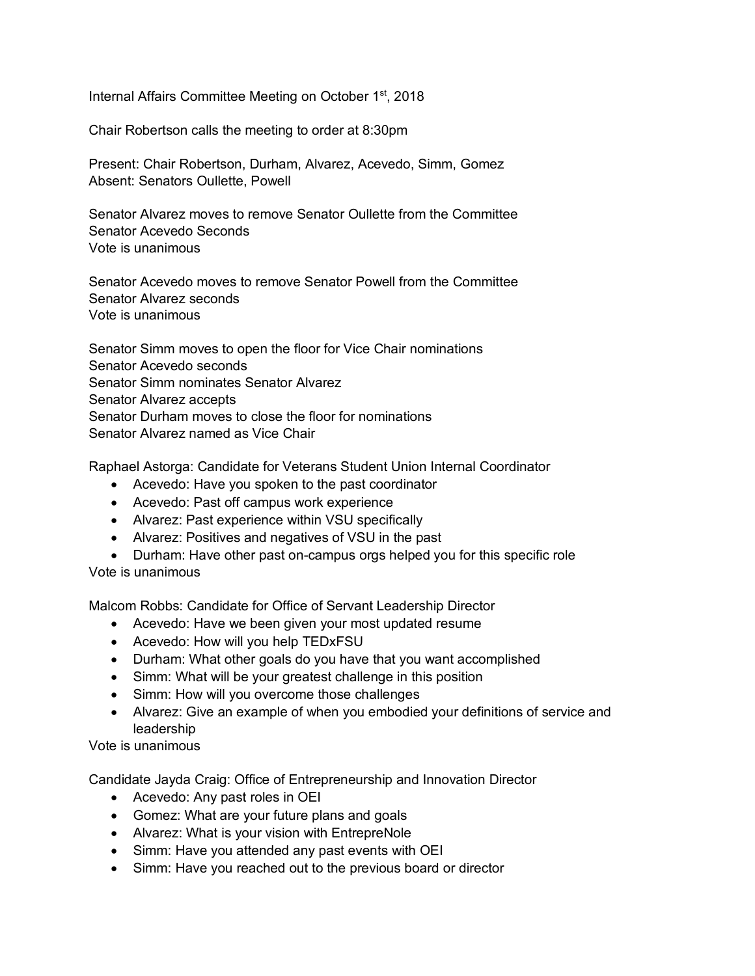Internal Affairs Committee Meeting on October 1<sup>st</sup>, 2018

Chair Robertson calls the meeting to order at 8:30pm

Present: Chair Robertson, Durham, Alvarez, Acevedo, Simm, Gomez Absent: Senators Oullette, Powell

Senator Alvarez moves to remove Senator Oullette from the Committee Senator Acevedo Seconds Vote is unanimous

Senator Acevedo moves to remove Senator Powell from the Committee Senator Alvarez seconds Vote is unanimous

Senator Simm moves to open the floor for Vice Chair nominations Senator Acevedo seconds Senator Simm nominates Senator Alvarez Senator Alvarez accepts Senator Durham moves to close the floor for nominations Senator Alvarez named as Vice Chair

Raphael Astorga: Candidate for Veterans Student Union Internal Coordinator

- Acevedo: Have you spoken to the past coordinator
- Acevedo: Past off campus work experience
- Alvarez: Past experience within VSU specifically
- Alvarez: Positives and negatives of VSU in the past
- Durham: Have other past on-campus orgs helped you for this specific role Vote is unanimous

Malcom Robbs: Candidate for Office of Servant Leadership Director

- Acevedo: Have we been given your most updated resume
- Acevedo: How will you help TEDxFSU
- Durham: What other goals do you have that you want accomplished
- Simm: What will be your greatest challenge in this position
- Simm: How will you overcome those challenges
- Alvarez: Give an example of when you embodied your definitions of service and leadership

Vote is unanimous

Candidate Jayda Craig: Office of Entrepreneurship and Innovation Director

- Acevedo: Any past roles in OEI
- Gomez: What are your future plans and goals
- Alvarez: What is your vision with EntrepreNole
- Simm: Have you attended any past events with OEI
- Simm: Have you reached out to the previous board or director